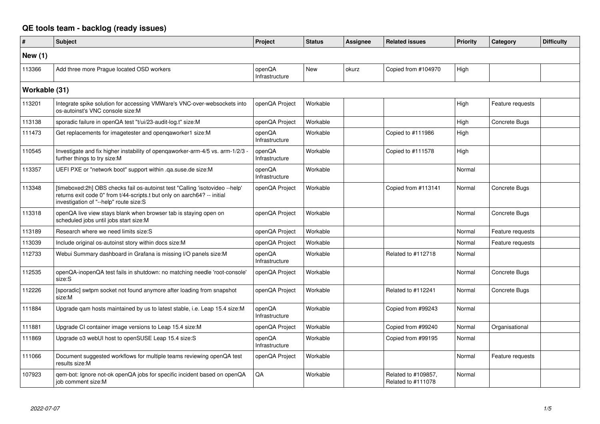## **QE tools team - backlog (ready issues)**

| $\pmb{\#}$    | Subject                                                                                                                                                                                            | Project                  | <b>Status</b> | <b>Assignee</b> | <b>Related issues</b>                     | <b>Priority</b> | Category         | <b>Difficulty</b> |
|---------------|----------------------------------------------------------------------------------------------------------------------------------------------------------------------------------------------------|--------------------------|---------------|-----------------|-------------------------------------------|-----------------|------------------|-------------------|
| New $(1)$     |                                                                                                                                                                                                    |                          |               |                 |                                           |                 |                  |                   |
| 113366        | Add three more Prague located OSD workers                                                                                                                                                          | openQA<br>Infrastructure | New           | okurz           | Copied from #104970                       | High            |                  |                   |
| Workable (31) |                                                                                                                                                                                                    |                          |               |                 |                                           |                 |                  |                   |
| 113201        | Integrate spike solution for accessing VMWare's VNC-over-websockets into<br>os-autoinst's VNC console size:M                                                                                       | openQA Project           | Workable      |                 |                                           | High            | Feature requests |                   |
| 113138        | sporadic failure in openQA test "t/ui/23-audit-log.t" size:M                                                                                                                                       | openQA Project           | Workable      |                 |                                           | High            | Concrete Bugs    |                   |
| 111473        | Get replacements for imagetester and opengaworker1 size:M                                                                                                                                          | openQA<br>Infrastructure | Workable      |                 | Copied to #111986                         | High            |                  |                   |
| 110545        | Investigate and fix higher instability of openqaworker-arm-4/5 vs. arm-1/2/3<br>further things to try size:M                                                                                       | openQA<br>Infrastructure | Workable      |                 | Copied to #111578                         | High            |                  |                   |
| 113357        | UEFI PXE or "network boot" support within .ga.suse.de size:M                                                                                                                                       | openQA<br>Infrastructure | Workable      |                 |                                           | Normal          |                  |                   |
| 113348        | [timeboxed:2h] OBS checks fail os-autoinst test "Calling 'isotovideo --help'<br>returns exit code 0" from t/44-scripts.t but only on aarch64? -- initial<br>investigation of "--help" route size:S | openQA Project           | Workable      |                 | Copied from #113141                       | Normal          | Concrete Bugs    |                   |
| 113318        | openQA live view stays blank when browser tab is staying open on<br>scheduled jobs until jobs start size:M                                                                                         | openQA Project           | Workable      |                 |                                           | Normal          | Concrete Bugs    |                   |
| 113189        | Research where we need limits size:S                                                                                                                                                               | openQA Project           | Workable      |                 |                                           | Normal          | Feature requests |                   |
| 113039        | Include original os-autoinst story within docs size:M                                                                                                                                              | openQA Project           | Workable      |                 |                                           | Normal          | Feature requests |                   |
| 112733        | Webui Summary dashboard in Grafana is missing I/O panels size:M                                                                                                                                    | openQA<br>Infrastructure | Workable      |                 | Related to #112718                        | Normal          |                  |                   |
| 112535        | openQA-inopenQA test fails in shutdown: no matching needle 'root-console'<br>size:S                                                                                                                | openQA Project           | Workable      |                 |                                           | Normal          | Concrete Bugs    |                   |
| 112226        | [sporadic] swtpm socket not found anymore after loading from snapshot<br>size:M                                                                                                                    | openQA Project           | Workable      |                 | Related to #112241                        | Normal          | Concrete Bugs    |                   |
| 111884        | Upgrade gam hosts maintained by us to latest stable, i.e. Leap 15.4 size:M                                                                                                                         | openQA<br>Infrastructure | Workable      |                 | Copied from #99243                        | Normal          |                  |                   |
| 111881        | Upgrade CI container image versions to Leap 15.4 size:M                                                                                                                                            | openQA Project           | Workable      |                 | Copied from #99240                        | Normal          | Organisational   |                   |
| 111869        | Upgrade o3 webUI host to openSUSE Leap 15.4 size:S                                                                                                                                                 | openQA<br>Infrastructure | Workable      |                 | Copied from #99195                        | Normal          |                  |                   |
| 111066        | Document suggested workflows for multiple teams reviewing openQA test<br>results size:M                                                                                                            | openQA Project           | Workable      |                 |                                           | Normal          | Feature requests |                   |
| 107923        | qem-bot: Ignore not-ok openQA jobs for specific incident based on openQA<br>job comment size:M                                                                                                     | QA                       | Workable      |                 | Related to #109857,<br>Related to #111078 | Normal          |                  |                   |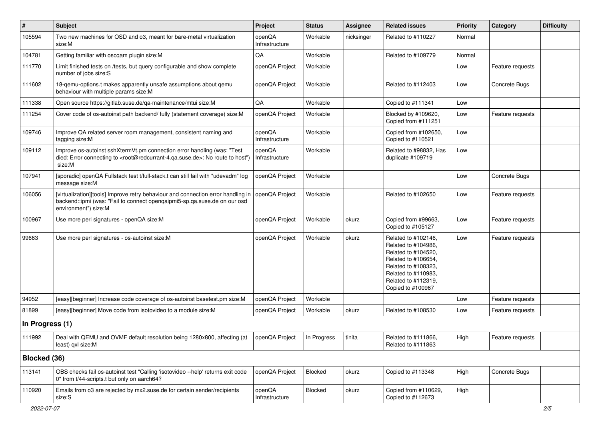| $\vert$ #       | Subject                                                                                                                                                                                           | Project                  | <b>Status</b> | <b>Assignee</b> | <b>Related issues</b>                                                                                                                                                              | <b>Priority</b> | Category         | <b>Difficulty</b> |
|-----------------|---------------------------------------------------------------------------------------------------------------------------------------------------------------------------------------------------|--------------------------|---------------|-----------------|------------------------------------------------------------------------------------------------------------------------------------------------------------------------------------|-----------------|------------------|-------------------|
| 105594          | Two new machines for OSD and 03, meant for bare-metal virtualization<br>size:M                                                                                                                    | openQA<br>Infrastructure | Workable      | nicksinger      | Related to #110227                                                                                                                                                                 | Normal          |                  |                   |
| 104781          | Getting familiar with oscgam plugin size:M                                                                                                                                                        | QA                       | Workable      |                 | Related to #109779                                                                                                                                                                 | Normal          |                  |                   |
| 111770          | Limit finished tests on /tests, but query configurable and show complete<br>number of jobs size:S                                                                                                 | openQA Project           | Workable      |                 |                                                                                                                                                                                    | Low             | Feature requests |                   |
| 111602          | 18-qemu-options.t makes apparently unsafe assumptions about qemu<br>behaviour with multiple params size:M                                                                                         | openQA Project           | Workable      |                 | Related to #112403                                                                                                                                                                 | Low             | Concrete Bugs    |                   |
| 111338          | Open source https://gitlab.suse.de/qa-maintenance/mtui size:M                                                                                                                                     | QA                       | Workable      |                 | Copied to #111341                                                                                                                                                                  | Low             |                  |                   |
| 111254          | Cover code of os-autoinst path backend/ fully (statement coverage) size:M                                                                                                                         | openQA Project           | Workable      |                 | Blocked by #109620,<br>Copied from #111251                                                                                                                                         | Low             | Feature requests |                   |
| 109746          | Improve QA related server room management, consistent naming and<br>tagging size:M                                                                                                                | openQA<br>Infrastructure | Workable      |                 | Copied from #102650,<br>Copied to #110521                                                                                                                                          | Low             |                  |                   |
| 109112          | Improve os-autoinst sshXtermVt.pm connection error handling (was: "Test<br>died: Error connecting to <root@redcurrant-4.qa.suse.de>: No route to host")<br/>size:M</root@redcurrant-4.qa.suse.de> | openQA<br>Infrastructure | Workable      |                 | Related to #98832, Has<br>duplicate #109719                                                                                                                                        | Low             |                  |                   |
| 107941          | [sporadic] openQA Fullstack test t/full-stack.t can still fail with "udevadm" log<br>message size:M                                                                                               | openQA Project           | Workable      |                 |                                                                                                                                                                                    | Low             | Concrete Bugs    |                   |
| 106056          | [virtualization][tools] Improve retry behaviour and connection error handling in<br>backend::ipmi (was: "Fail to connect openqaipmi5-sp.qa.suse.de on our osd<br>environment") size:M             | openQA Project           | Workable      |                 | Related to #102650                                                                                                                                                                 | Low             | Feature requests |                   |
| 100967          | Use more perl signatures - openQA size:M                                                                                                                                                          | openQA Project           | Workable      | okurz           | Copied from #99663,<br>Copied to #105127                                                                                                                                           | Low             | Feature requests |                   |
| 99663           | Use more perl signatures - os-autoinst size:M                                                                                                                                                     | openQA Project           | Workable      | okurz           | Related to #102146,<br>Related to #104986,<br>Related to #104520,<br>Related to #106654,<br>Related to #108323,<br>Related to #110983,<br>Related to #112319,<br>Copied to #100967 | Low             | Feature requests |                   |
| 94952           | [easy][beginner] Increase code coverage of os-autoinst basetest.pm size:M                                                                                                                         | openQA Project           | Workable      |                 |                                                                                                                                                                                    | Low             | Feature requests |                   |
| 81899           | [easy][beginner] Move code from isotovideo to a module size:M                                                                                                                                     | openQA Project           | Workable      | okurz           | Related to #108530                                                                                                                                                                 | Low             | Feature requests |                   |
| In Progress (1) |                                                                                                                                                                                                   |                          |               |                 |                                                                                                                                                                                    |                 |                  |                   |
| 111992          | Deal with QEMU and OVMF default resolution being 1280x800, affecting (at<br>least) qxl size:M                                                                                                     | openQA Project           | In Progress   | tinita          | Related to #111866,<br>Related to #111863                                                                                                                                          | High            | Feature requests |                   |
| Blocked (36)    |                                                                                                                                                                                                   |                          |               |                 |                                                                                                                                                                                    |                 |                  |                   |
| 113141          | OBS checks fail os-autoinst test "Calling 'isotovideo --help' returns exit code<br>0" from t/44-scripts.t but only on aarch64?                                                                    | openQA Project           | Blocked       | okurz           | Copied to #113348                                                                                                                                                                  | High            | Concrete Bugs    |                   |
| 110920          | Emails from o3 are rejected by mx2.suse.de for certain sender/recipients<br>size:S                                                                                                                | openQA<br>Infrastructure | Blocked       | okurz           | Copied from #110629,<br>Copied to #112673                                                                                                                                          | High            |                  |                   |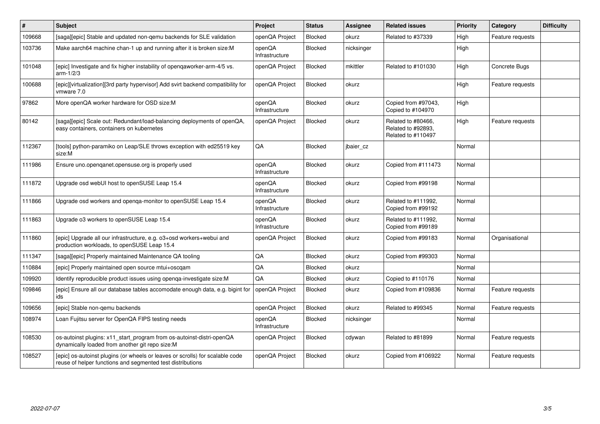| #      | <b>Subject</b>                                                                                                                              | Project                  | <b>Status</b>  | Assignee   | <b>Related issues</b>                                          | Priority | Category         | <b>Difficulty</b> |
|--------|---------------------------------------------------------------------------------------------------------------------------------------------|--------------------------|----------------|------------|----------------------------------------------------------------|----------|------------------|-------------------|
| 109668 | [saga][epic] Stable and updated non-gemu backends for SLE validation                                                                        | openQA Project           | <b>Blocked</b> | okurz      | Related to #37339                                              | High     | Feature requests |                   |
| 103736 | Make aarch64 machine chan-1 up and running after it is broken size:M                                                                        | openQA<br>Infrastructure | Blocked        | nicksinger |                                                                | High     |                  |                   |
| 101048 | [epic] Investigate and fix higher instability of opengaworker-arm-4/5 vs.<br>$arm-1/2/3$                                                    | openQA Project           | <b>Blocked</b> | mkittler   | Related to #101030                                             | High     | Concrete Bugs    |                   |
| 100688 | [epic][virtualization][3rd party hypervisor] Add svirt backend compatibility for<br>vmware 7.0                                              | openQA Project           | Blocked        | okurz      |                                                                | High     | Feature requests |                   |
| 97862  | More openQA worker hardware for OSD size:M                                                                                                  | openQA<br>Infrastructure | Blocked        | okurz      | Copied from #97043.<br>Copied to #104970                       | High     |                  |                   |
| 80142  | [saga][epic] Scale out: Redundant/load-balancing deployments of openQA,<br>easy containers, containers on kubernetes                        | openQA Project           | <b>Blocked</b> | okurz      | Related to #80466.<br>Related to #92893.<br>Related to #110497 | High     | Feature requests |                   |
| 112367 | [tools] python-paramiko on Leap/SLE throws exception with ed25519 key<br>size:M                                                             | QA                       | <b>Blocked</b> | jbaier_cz  |                                                                | Normal   |                  |                   |
| 111986 | Ensure uno openganet opensuse org is properly used                                                                                          | openQA<br>Infrastructure | Blocked        | okurz      | Copied from #111473                                            | Normal   |                  |                   |
| 111872 | Upgrade osd webUI host to openSUSE Leap 15.4                                                                                                | openQA<br>Infrastructure | Blocked        | okurz      | Copied from #99198                                             | Normal   |                  |                   |
| 111866 | Upgrade osd workers and openga-monitor to openSUSE Leap 15.4                                                                                | openQA<br>Infrastructure | <b>Blocked</b> | okurz      | Related to #111992,<br>Copied from #99192                      | Normal   |                  |                   |
| 111863 | Upgrade o3 workers to openSUSE Leap 15.4                                                                                                    | openQA<br>Infrastructure | <b>Blocked</b> | okurz      | Related to #111992,<br>Copied from #99189                      | Normal   |                  |                   |
| 111860 | [epic] Upgrade all our infrastructure, e.g. o3+osd workers+webui and<br>production workloads, to openSUSE Leap 15.4                         | openQA Project           | Blocked        | okurz      | Copied from #99183                                             | Normal   | Organisational   |                   |
| 111347 | [saga][epic] Properly maintained Maintenance QA tooling                                                                                     | QA                       | Blocked        | okurz      | Copied from #99303                                             | Normal   |                  |                   |
| 110884 | [epic] Properly maintained open source mtui+oscqam                                                                                          | QA                       | <b>Blocked</b> | okurz      |                                                                | Normal   |                  |                   |
| 109920 | Identify reproducible product issues using openga-investigate size: M                                                                       | QA                       | Blocked        | okurz      | Copied to #110176                                              | Normal   |                  |                   |
| 109846 | [epic] Ensure all our database tables accomodate enough data, e.g. bigint for<br>ids                                                        | openQA Project           | <b>Blocked</b> | okurz      | Copied from #109836                                            | Normal   | Feature requests |                   |
| 109656 | [epic] Stable non-gemu backends                                                                                                             | openQA Project           | <b>Blocked</b> | okurz      | Related to #99345                                              | Normal   | Feature requests |                   |
| 108974 | Loan Fujitsu server for OpenQA FIPS testing needs                                                                                           | openQA<br>Infrastructure | Blocked        | nicksinger |                                                                | Normal   |                  |                   |
| 108530 | os-autoinst plugins: x11 start program from os-autoinst-distri-openQA<br>dynamically loaded from another git repo size:M                    | openQA Project           | <b>Blocked</b> | cdywan     | Related to #81899                                              | Normal   | Feature requests |                   |
| 108527 | [epic] os-autoinst plugins (or wheels or leaves or scrolls) for scalable code<br>reuse of helper functions and segmented test distributions | openQA Project           | Blocked        | okurz      | Copied from #106922                                            | Normal   | Feature requests |                   |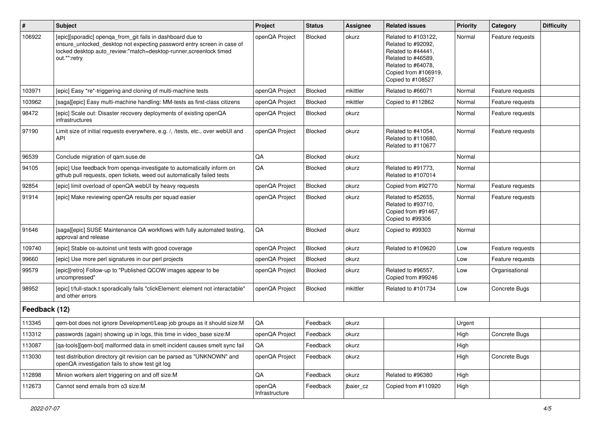| $\vert$ #     | Subject                                                                                                                                                                                                                   | Project                  | <b>Status</b>  | <b>Assignee</b> | <b>Related issues</b>                                                                                                                                    | Priority | Category         | <b>Difficulty</b> |
|---------------|---------------------------------------------------------------------------------------------------------------------------------------------------------------------------------------------------------------------------|--------------------------|----------------|-----------------|----------------------------------------------------------------------------------------------------------------------------------------------------------|----------|------------------|-------------------|
| 106922        | [epic][sporadic] openga_from_git fails in dashboard due to<br>ensure_unlocked_desktop not expecting password entry screen in case of<br>locked desktop auto_review:"match=desktop-runner,screenlock timed<br>out.*":retry | openQA Project           | <b>Blocked</b> | okurz           | Related to #103122,<br>Related to #92092,<br>Related to #44441,<br>Related to #46589,<br>Related to #64078,<br>Copied from #106919,<br>Copied to #108527 | Normal   | Feature requests |                   |
| 103971        | [epic] Easy *re*-triggering and cloning of multi-machine tests                                                                                                                                                            | openQA Project           | <b>Blocked</b> | mkittler        | Related to #66071                                                                                                                                        | Normal   | Feature requests |                   |
| 103962        | [saga][epic] Easy multi-machine handling: MM-tests as first-class citizens                                                                                                                                                | openQA Project           | <b>Blocked</b> | mkittler        | Copied to #112862                                                                                                                                        | Normal   | Feature requests |                   |
| 98472         | [epic] Scale out: Disaster recovery deployments of existing openQA<br>infrastructures                                                                                                                                     | openQA Project           | <b>Blocked</b> | okurz           |                                                                                                                                                          | Normal   | Feature requests |                   |
| 97190         | Limit size of initial requests everywhere, e.g. /, /tests, etc., over webUI and<br><b>API</b>                                                                                                                             | openQA Project           | <b>Blocked</b> | okurz           | Related to #41054,<br>Related to #110680,<br>Related to #110677                                                                                          | Normal   | Feature requests |                   |
| 96539         | Conclude migration of gam.suse.de                                                                                                                                                                                         | QA                       | Blocked        | okurz           |                                                                                                                                                          | Normal   |                  |                   |
| 94105         | [epic] Use feedback from openqa-investigate to automatically inform on<br>github pull requests, open tickets, weed out automatically failed tests                                                                         | QA                       | Blocked        | okurz           | Related to #91773,<br>Related to #107014                                                                                                                 | Normal   |                  |                   |
| 92854         | [epic] limit overload of openQA webUI by heavy requests                                                                                                                                                                   | openQA Project           | Blocked        | okurz           | Copied from #92770                                                                                                                                       | Normal   | Feature requests |                   |
| 91914         | [epic] Make reviewing openQA results per squad easier                                                                                                                                                                     | openQA Project           | Blocked        | okurz           | Related to #52655,<br>Related to #93710,<br>Copied from #91467,<br>Copied to #99306                                                                      | Normal   | Feature requests |                   |
| 91646         | [saga][epic] SUSE Maintenance QA workflows with fully automated testing,<br>approval and release                                                                                                                          | QA                       | Blocked        | okurz           | Copied to #99303                                                                                                                                         | Normal   |                  |                   |
| 109740        | [epic] Stable os-autoinst unit tests with good coverage                                                                                                                                                                   | openQA Project           | <b>Blocked</b> | okurz           | Related to #109620                                                                                                                                       | Low      | Feature requests |                   |
| 99660         | [epic] Use more perl signatures in our perl projects                                                                                                                                                                      | openQA Project           | <b>Blocked</b> | okurz           |                                                                                                                                                          | Low      | Feature requests |                   |
| 99579         | [epic][retro] Follow-up to "Published QCOW images appear to be<br>uncompressed"                                                                                                                                           | openQA Project           | <b>Blocked</b> | okurz           | Related to #96557,<br>Copied from #99246                                                                                                                 | Low      | Organisational   |                   |
| 98952         | [epic] t/full-stack.t sporadically fails "clickElement: element not interactable"<br>and other errors                                                                                                                     | openQA Project           | <b>Blocked</b> | mkittler        | Related to #101734                                                                                                                                       | Low      | Concrete Bugs    |                   |
| Feedback (12) |                                                                                                                                                                                                                           |                          |                |                 |                                                                                                                                                          |          |                  |                   |
| 113345        | gem-bot does not ignore Development/Leap job groups as it should size: M                                                                                                                                                  | QA                       | Feedback       | okurz           |                                                                                                                                                          | Urgent   |                  |                   |
| 113312        | passwords (again) showing up in logs, this time in video_base size:M                                                                                                                                                      | openQA Project           | Feedback       | okurz           |                                                                                                                                                          | High     | Concrete Bugs    |                   |
| 113087        | [qa-tools][qem-bot] malformed data in smelt incident causes smelt sync fail                                                                                                                                               | QA                       | Feedback       | okurz           |                                                                                                                                                          | High     |                  |                   |
| 113030        | test distribution directory git revision can be parsed as "UNKNOWN" and<br>openQA investigation fails to show test git log                                                                                                | openQA Project           | Feedback       | okurz           |                                                                                                                                                          | High     | Concrete Bugs    |                   |
| 112898        | Minion workers alert triggering on and off size:M                                                                                                                                                                         | QA                       | Feedback       | okurz           | Related to #96380                                                                                                                                        | High     |                  |                   |
| 112673        | Cannot send emails from o3 size:M                                                                                                                                                                                         | openQA<br>Infrastructure | Feedback       | jbaier_cz       | Copied from #110920                                                                                                                                      | High     |                  |                   |